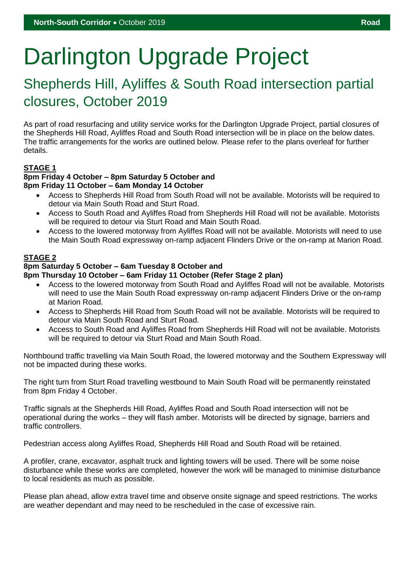# Darlington Upgrade Project

### Shepherds Hill, Ayliffes & South Road intersection partial closures, October 2019

As part of road resurfacing and utility service works for the Darlington Upgrade Project, partial closures of the Shepherds Hill Road, Ayliffes Road and South Road intersection will be in place on the below dates. The traffic arrangements for the works are outlined below. Please refer to the plans overleaf for further details.

#### **STAGE 1**

#### **8pm Friday 4 October – 8pm Saturday 5 October and 8pm Friday 11 October – 6am Monday 14 October**

- Access to Shepherds Hill Road from South Road will not be available. Motorists will be required to detour via Main South Road and Sturt Road.
- Access to South Road and Ayliffes Road from Shepherds Hill Road will not be available. Motorists will be required to detour via Sturt Road and Main South Road.
- Access to the lowered motorway from Ayliffes Road will not be available. Motorists will need to use the Main South Road expressway on-ramp adjacent Flinders Drive or the on-ramp at Marion Road.

#### **STAGE 2**

#### **8pm Saturday 5 October – 6am Tuesday 8 October and**

#### **8pm Thursday 10 October – 6am Friday 11 October (Refer Stage 2 plan)**

- Access to the lowered motorway from South Road and Ayliffes Road will not be available. Motorists will need to use the Main South Road expressway on-ramp adjacent Flinders Drive or the on-ramp at Marion Road.
- Access to Shepherds Hill Road from South Road will not be available. Motorists will be required to detour via Main South Road and Sturt Road.
- Access to South Road and Ayliffes Road from Shepherds Hill Road will not be available. Motorists will be required to detour via Sturt Road and Main South Road.

Northbound traffic travelling via Main South Road, the lowered motorway and the Southern Expressway will not be impacted during these works.

The right turn from Sturt Road travelling westbound to Main South Road will be permanently reinstated from 8pm Friday 4 October.

Traffic signals at the Shepherds Hill Road, Ayliffes Road and South Road intersection will not be operational during the works – they will flash amber. Motorists will be directed by signage, barriers and traffic controllers.

Pedestrian access along Ayliffes Road, Shepherds Hill Road and South Road will be retained.

A profiler, crane, excavator, asphalt truck and lighting towers will be used. There will be some noise disturbance while these works are completed, however the work will be managed to minimise disturbance to local residents as much as possible.

Please plan ahead, allow extra travel time and observe onsite signage and speed restrictions. The works are weather dependant and may need to be rescheduled in the case of excessive rain.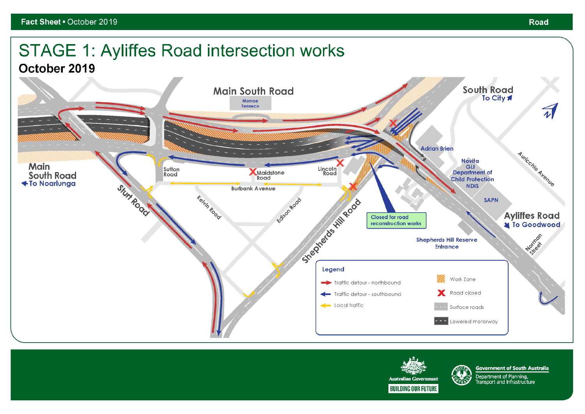# **STAGE 1: Ayliffes Road intersection works**

October 2019



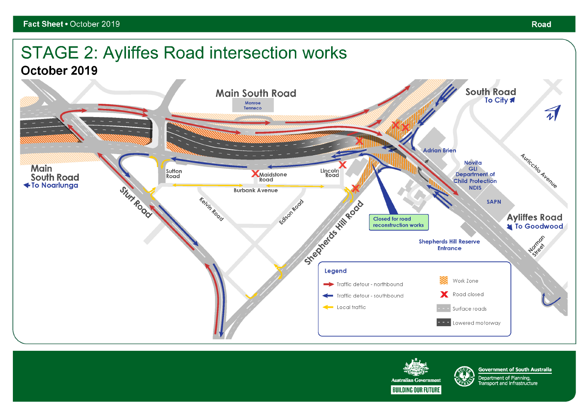## **STAGE 2: Ayliffes Road intersection works**

October 2019